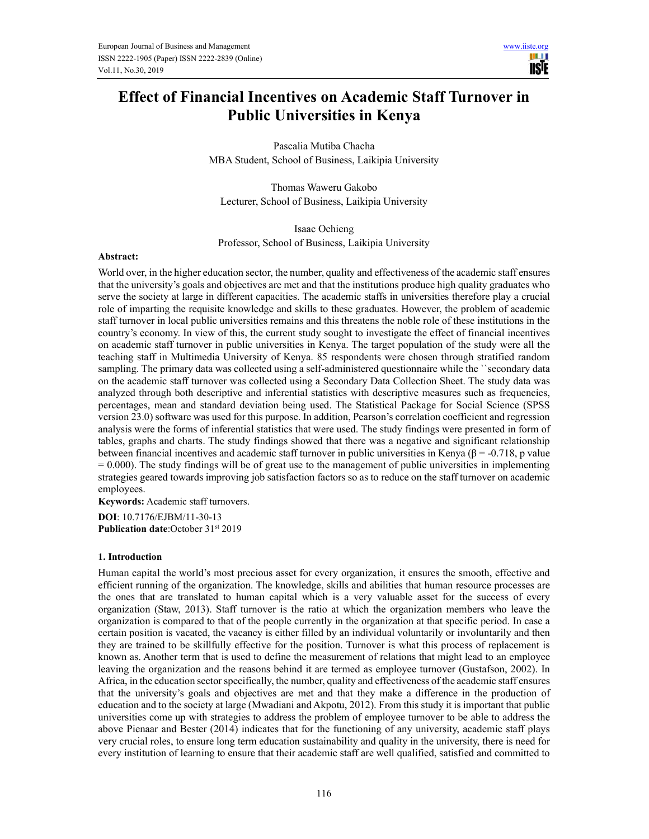H 1 **IISIE** 

# **Effect of Financial Incentives on Academic Staff Turnover in Public Universities in Kenya**

Pascalia Mutiba Chacha MBA Student, School of Business, Laikipia University

Thomas Waweru Gakobo Lecturer, School of Business, Laikipia University

Isaac Ochieng Professor, School of Business, Laikipia University

## **Abstract:**

World over, in the higher education sector, the number, quality and effectiveness of the academic staff ensures that the university's goals and objectives are met and that the institutions produce high quality graduates who serve the society at large in different capacities. The academic staffs in universities therefore play a crucial role of imparting the requisite knowledge and skills to these graduates. However, the problem of academic staff turnover in local public universities remains and this threatens the noble role of these institutions in the country's economy. In view of this, the current study sought to investigate the effect of financial incentives on academic staff turnover in public universities in Kenya. The target population of the study were all the teaching staff in Multimedia University of Kenya. 85 respondents were chosen through stratified random sampling. The primary data was collected using a self-administered questionnaire while the ``secondary data on the academic staff turnover was collected using a Secondary Data Collection Sheet. The study data was analyzed through both descriptive and inferential statistics with descriptive measures such as frequencies, percentages, mean and standard deviation being used. The Statistical Package for Social Science (SPSS version 23.0) software was used for this purpose. In addition, Pearson's correlation coefficient and regression analysis were the forms of inferential statistics that were used. The study findings were presented in form of tables, graphs and charts. The study findings showed that there was a negative and significant relationship between financial incentives and academic staff turnover in public universities in Kenya ( $\beta$  = -0.718, p value  $= 0.000$ . The study findings will be of great use to the management of public universities in implementing strategies geared towards improving job satisfaction factors so as to reduce on the staff turnover on academic employees.

**Keywords:** Academic staff turnovers.

**DOI**: 10.7176/EJBM/11-30-13 **Publication date:**October 31<sup>st</sup> 2019

#### **1. Introduction**

Human capital the world's most precious asset for every organization, it ensures the smooth, effective and efficient running of the organization. The knowledge, skills and abilities that human resource processes are the ones that are translated to human capital which is a very valuable asset for the success of every organization (Staw, 2013). Staff turnover is the ratio at which the organization members who leave the organization is compared to that of the people currently in the organization at that specific period. In case a certain position is vacated, the vacancy is either filled by an individual voluntarily or involuntarily and then they are trained to be skillfully effective for the position. Turnover is what this process of replacement is known as. Another term that is used to define the measurement of relations that might lead to an employee leaving the organization and the reasons behind it are termed as employee turnover (Gustafson, 2002). In Africa, in the education sector specifically, the number, quality and effectiveness of the academic staff ensures that the university's goals and objectives are met and that they make a difference in the production of education and to the society at large (Mwadiani and Akpotu, 2012). From this study it is important that public universities come up with strategies to address the problem of employee turnover to be able to address the above Pienaar and Bester (2014) indicates that for the functioning of any university, academic staff plays very crucial roles, to ensure long term education sustainability and quality in the university, there is need for every institution of learning to ensure that their academic staff are well qualified, satisfied and committed to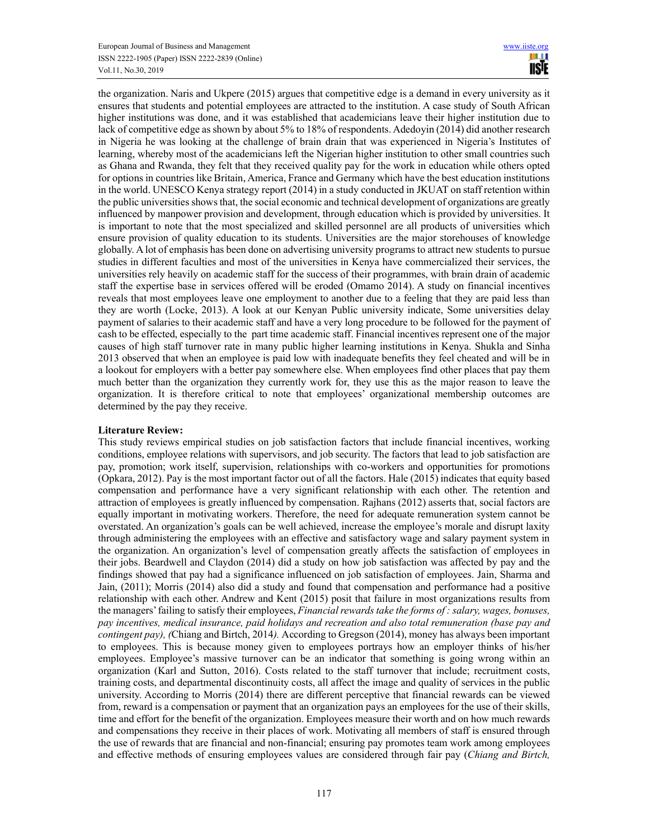the organization. Naris and Ukpere (2015) argues that competitive edge is a demand in every university as it ensures that students and potential employees are attracted to the institution. A case study of South African higher institutions was done, and it was established that academicians leave their higher institution due to lack of competitive edge as shown by about 5% to 18% of respondents. Adedoyin (2014) did another research in Nigeria he was looking at the challenge of brain drain that was experienced in Nigeria's Institutes of learning, whereby most of the academicians left the Nigerian higher institution to other small countries such as Ghana and Rwanda, they felt that they received quality pay for the work in education while others opted for options in countries like Britain, America, France and Germany which have the best education institutions in the world. UNESCO Kenya strategy report (2014) in a study conducted in JKUAT on staff retention within the public universities shows that, the social economic and technical development of organizations are greatly influenced by manpower provision and development, through education which is provided by universities. It is important to note that the most specialized and skilled personnel are all products of universities which ensure provision of quality education to its students. Universities are the major storehouses of knowledge globally. A lot of emphasis has been done on advertising university programs to attract new students to pursue studies in different faculties and most of the universities in Kenya have commercialized their services, the universities rely heavily on academic staff for the success of their programmes, with brain drain of academic staff the expertise base in services offered will be eroded (Omamo 2014). A study on financial incentives reveals that most employees leave one employment to another due to a feeling that they are paid less than they are worth (Locke, 2013). A look at our Kenyan Public university indicate, Some universities delay payment of salaries to their academic staff and have a very long procedure to be followed for the payment of cash to be effected, especially to the part time academic staff. Financial incentives represent one of the major causes of high staff turnover rate in many public higher learning institutions in Kenya. Shukla and Sinha 2013 observed that when an employee is paid low with inadequate benefits they feel cheated and will be in a lookout for employers with a better pay somewhere else. When employees find other places that pay them much better than the organization they currently work for, they use this as the major reason to leave the organization. It is therefore critical to note that employees' organizational membership outcomes are determined by the pay they receive.

# **Literature Review:**

This study reviews empirical studies on job satisfaction factors that include financial incentives, working conditions, employee relations with supervisors, and job security. The factors that lead to job satisfaction are pay, promotion; work itself, supervision, relationships with co-workers and opportunities for promotions (Opkara, 2012). Pay is the most important factor out of all the factors. Hale (2015) indicates that equity based compensation and performance have a very significant relationship with each other. The retention and attraction of employees is greatly influenced by compensation. Rajhans (2012) asserts that, social factors are equally important in motivating workers. Therefore, the need for adequate remuneration system cannot be overstated. An organization's goals can be well achieved, increase the employee's morale and disrupt laxity through administering the employees with an effective and satisfactory wage and salary payment system in the organization. An organization's level of compensation greatly affects the satisfaction of employees in their jobs. Beardwell and Claydon (2014) did a study on how job satisfaction was affected by pay and the findings showed that pay had a significance influenced on job satisfaction of employees. Jain, Sharma and Jain, (2011); Morris (2014) also did a study and found that compensation and performance had a positive relationship with each other. Andrew and Kent (2015) posit that failure in most organizations results from the managers' failing to satisfy their employees, *Financial rewards take the forms of : salary, wages, bonuses, pay incentives, medical insurance, paid holidays and recreation and also total remuneration (base pay and contingent pay), (*Chiang and Birtch, 2014*).* According to Gregson (2014), money has always been important to employees. This is because money given to employees portrays how an employer thinks of his/her employees. Employee's massive turnover can be an indicator that something is going wrong within an organization (Karl and Sutton, 2016). Costs related to the staff turnover that include; recruitment costs, training costs, and departmental discontinuity costs, all affect the image and quality of services in the public university. According to Morris (2014) there are different perceptive that financial rewards can be viewed from, reward is a compensation or payment that an organization pays an employees for the use of their skills, time and effort for the benefit of the organization. Employees measure their worth and on how much rewards and compensations they receive in their places of work. Motivating all members of staff is ensured through the use of rewards that are financial and non-financial; ensuring pay promotes team work among employees and effective methods of ensuring employees values are considered through fair pay (*Chiang and Birtch,*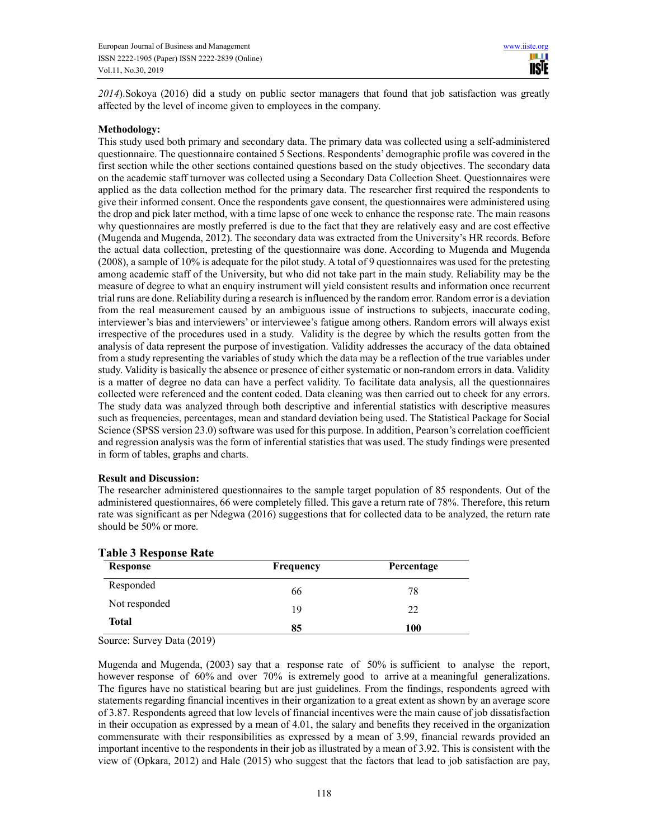*2014*).Sokoya (2016) did a study on public sector managers that found that job satisfaction was greatly affected by the level of income given to employees in the company.

# **Methodology:**

This study used both primary and secondary data. The primary data was collected using a self-administered questionnaire. The questionnaire contained 5 Sections. Respondents' demographic profile was covered in the first section while the other sections contained questions based on the study objectives. The secondary data on the academic staff turnover was collected using a Secondary Data Collection Sheet. Questionnaires were applied as the data collection method for the primary data. The researcher first required the respondents to give their informed consent. Once the respondents gave consent, the questionnaires were administered using the drop and pick later method, with a time lapse of one week to enhance the response rate. The main reasons why questionnaires are mostly preferred is due to the fact that they are relatively easy and are cost effective (Mugenda and Mugenda, 2012). The secondary data was extracted from the University's HR records. Before the actual data collection, pretesting of the questionnaire was done. According to Mugenda and Mugenda (2008), a sample of 10% is adequate for the pilot study. A total of 9 questionnaires was used for the pretesting among academic staff of the University, but who did not take part in the main study. Reliability may be the measure of degree to what an enquiry instrument will yield consistent results and information once recurrent trial runs are done. Reliability during a research is influenced by the random error. Random error is a deviation from the real measurement caused by an ambiguous issue of instructions to subjects, inaccurate coding, interviewer's bias and interviewers' or interviewee's fatigue among others. Random errors will always exist irrespective of the procedures used in a study. Validity is the degree by which the results gotten from the analysis of data represent the purpose of investigation. Validity addresses the accuracy of the data obtained from a study representing the variables of study which the data may be a reflection of the true variables under study. Validity is basically the absence or presence of either systematic or non-random errors in data. Validity is a matter of degree no data can have a perfect validity. To facilitate data analysis, all the questionnaires collected were referenced and the content coded. Data cleaning was then carried out to check for any errors. The study data was analyzed through both descriptive and inferential statistics with descriptive measures such as frequencies, percentages, mean and standard deviation being used. The Statistical Package for Social Science (SPSS version 23.0) software was used for this purpose. In addition, Pearson's correlation coefficient and regression analysis was the form of inferential statistics that was used. The study findings were presented in form of tables, graphs and charts.

# **Result and Discussion:**

The researcher administered questionnaires to the sample target population of 85 respondents. Out of the administered questionnaires, 66 were completely filled. This gave a return rate of 78%. Therefore, this return rate was significant as per Ndegwa (2016) suggestions that for collected data to be analyzed, the return rate should be 50% or more.

| <b>Response</b> | Frequency | Percentage |
|-----------------|-----------|------------|
| Responded       | 66        | 78         |
| Not responded   | 19        | 22         |
| Total           | 85        | 100        |

# **Table 3 Response Rate**

Source: Survey Data (2019)

Mugenda and Mugenda, (2003) say that a response rate of 50% is sufficient to analyse the report, however response of 60% and over 70% is extremely good to arrive at a meaningful generalizations. The figures have no statistical bearing but are just guidelines. From the findings, respondents agreed with statements regarding financial incentives in their organization to a great extent as shown by an average score of 3.87. Respondents agreed that low levels of financial incentives were the main cause of job dissatisfaction in their occupation as expressed by a mean of 4.01, the salary and benefits they received in the organization commensurate with their responsibilities as expressed by a mean of 3.99, financial rewards provided an important incentive to the respondents in their job as illustrated by a mean of 3.92. This is consistent with the view of (Opkara, 2012) and Hale (2015) who suggest that the factors that lead to job satisfaction are pay,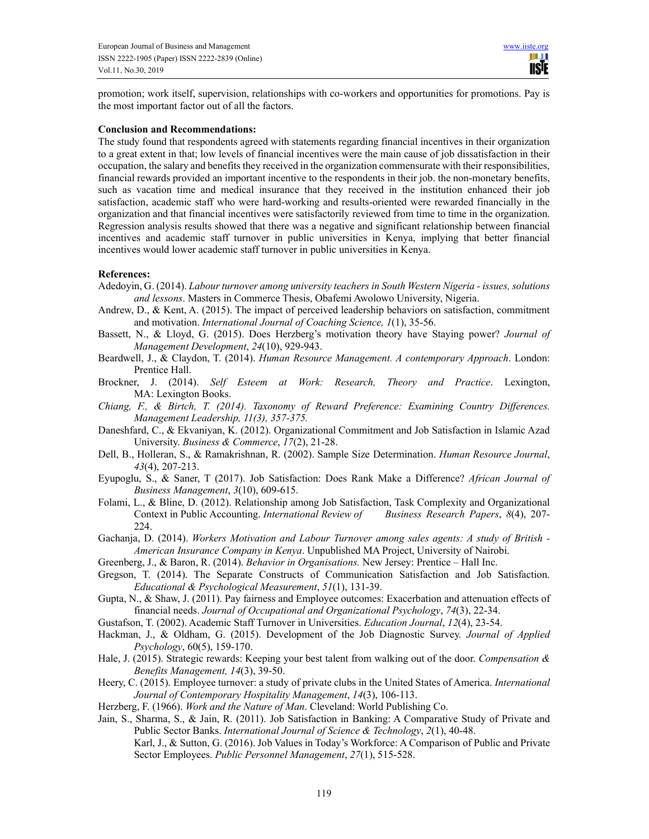promotion; work itself, supervision, relationships with co-workers and opportunities for promotions. Pay is the most important factor out of all the factors.

### **Conclusion and Recommendations:**

The study found that respondents agreed with statements regarding financial incentives in their organization to a great extent in that; low levels of financial incentives were the main cause of job dissatisfaction in their occupation, the salary and benefits they received in the organization commensurate with their responsibilities, financial rewards provided an important incentive to the respondents in their job. the non-monetary benefits, such as vacation time and medical insurance that they received in the institution enhanced their job satisfaction, academic staff who were hard-working and results-oriented were rewarded financially in the organization and that financial incentives were satisfactorily reviewed from time to time in the organization. Regression analysis results showed that there was a negative and significant relationship between financial incentives and academic staff turnover in public universities in Kenya, implying that better financial incentives would lower academic staff turnover in public universities in Kenya.

## **References:**

- Adedoyin, G. (2014). *Labour turnover among university teachers in South Western Nigeria issues, solutions and lessons*. Masters in Commerce Thesis, Obafemi Awolowo University, Nigeria.
- Andrew, D., & Kent, A. (2015). The impact of perceived leadership behaviors on satisfaction, commitment and motivation. *International Journal of Coaching Science, 1*(1), 35-56.
- Bassett, N., & Lloyd, G. (2015). Does Herzberg's motivation theory have Staying power? *Journal of Management Development*, *24*(10), 929-943.
- Beardwell, J., & Claydon, T. (2014). *Human Resource Management. A contemporary Approach*. London: Prentice Hall.
- Brockner, J. (2014). *Self Esteem at Work: Research, Theory and Practice*. Lexington, MA: Lexington Books.
- *Chiang, F., & Birtch, T. (2014). Taxonomy of Reward Preference: Examining Country Differences. Management Leadership, 11(3), 357-375.*
- Daneshfard, C., & Ekvaniyan, K. (2012). Organizational Commitment and Job Satisfaction in Islamic Azad University. *Business & Commerce*, *17*(2), 21-28.
- Dell, B., Holleran, S., & Ramakrishnan, R. (2002). Sample Size Determination. *Human Resource Journal*, *43*(4), 207-213.
- Eyupoglu, S., & Saner, T (2017). Job Satisfaction: Does Rank Make a Difference? *African Journal of Business Management*, *3*(10), 609-615.
- Folami, L., & Bline, D. (2012). Relationship among Job Satisfaction, Task Complexity and Organizational Context in Public Accounting. *International Review of Business Research Papers*, *8*(4), 207- 224.
- Gachanja, D. (2014). *Workers Motivation and Labour Turnover among sales agents: A study of British American Insurance Company in Kenya*. Unpublished MA Project, University of Nairobi.
- Greenberg, J., & Baron, R. (2014). *Behavior in Organisations.* New Jersey: Prentice Hall Inc.
- Gregson, T. (2014). The Separate Constructs of Communication Satisfaction and Job Satisfaction. *Educational & Psychological Measurement*, *51*(1), 131-39.
- Gupta, N., & Shaw, J. (2011). Pay fairness and Employee outcomes: Exacerbation and attenuation effects of financial needs. *Journal of Occupational and Organizational Psychology*, *74*(3), 22-34.
- Gustafson, T. (2002). Academic Staff Turnover in Universities. *Education Journal*, *12*(4), 23-54.
- Hackman, J., & Oldham, G. (2015). Development of the Job Diagnostic Survey. *Journal of Applied Psychology*, 60(5), 159-170.
- Hale, J. (2015). Strategic rewards: Keeping your best talent from walking out of the door. *Compensation & Benefits Management, 14*(3), 39-50.
- Heery, C. (2015). Employee turnover: a study of private clubs in the United States of America. *International Journal of Contemporary Hospitality Management*, *14*(3), 106-113.
- Herzberg, F. (1966). *Work and the Nature of Man*. Cleveland: World Publishing Co.
- Jain, S., Sharma, S., & Jain, R. (2011). Job Satisfaction in Banking: A Comparative Study of Private and Public Sector Banks. *International Journal of Science & Technology*, *2*(1), 40-48.

Karl, J., & Sutton, G. (2016). Job Values in Today's Workforce: A Comparison of Public and Private Sector Employees. *Public Personnel Management*, *27*(1), 515-528.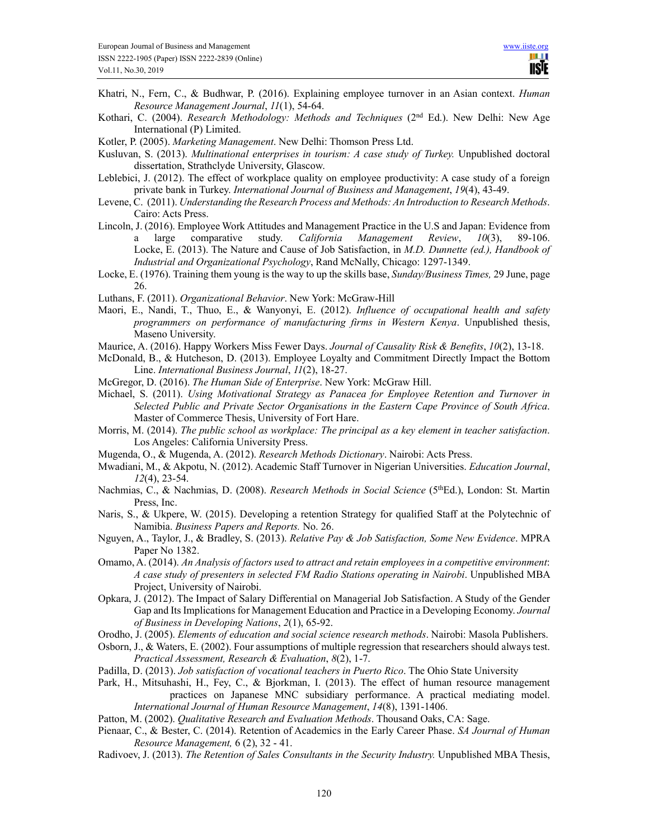- Khatri, N., Fern, C., & Budhwar, P. (2016). Explaining employee turnover in an Asian context. *Human Resource Management Journal*, *11*(1), 54-64.
- Kothari, C. (2004). *Research Methodology: Methods and Techniques* (2<sup>nd</sup> Ed.). New Delhi: New Age International (P) Limited.

Kotler, P. (2005). *Marketing Management*. New Delhi: Thomson Press Ltd.

- Kusluvan, S. (2013). *Multinational enterprises in tourism: A case study of Turkey.* Unpublished doctoral dissertation, Strathclyde University, Glascow.
- Leblebici, J. (2012). The effect of workplace quality on employee productivity: A case study of a foreign private bank in Turkey. *International Journal of Business and Management*, *19*(4), 43-49.
- Levene, C. (2011). *Understanding the Research Process and Methods: An Introduction to Research Methods*. Cairo: Acts Press.
- Lincoln, J. (2016). Employee Work Attitudes and Management Practice in the U.S and Japan: Evidence from a large comparative study. *California Management Review*, *10*(3), 89-106. Locke, E. (2013). The Nature and Cause of Job Satisfaction, in *M.D. Dunnette (ed.), Handbook of Industrial and Organizational Psychology*, Rand McNally, Chicago: 1297-1349.
- Locke, E. (1976). Training them young is the way to up the skills base, *Sunday/Business Times,* 29 June, page 26.
- Luthans, F. (2011). *Organizational Behavior*. New York: McGraw-Hill
- Maori, E., Nandi, T., Thuo, E., & Wanyonyi, E. (2012). *Influence of occupational health and safety programmers on performance of manufacturing firms in Western Kenya*. Unpublished thesis, Maseno University.
- Maurice, A. (2016). Happy Workers Miss Fewer Days. *Journal of Causality Risk & Benefits*, *10*(2), 13-18.
- McDonald, B., & Hutcheson, D. (2013). Employee Loyalty and Commitment Directly Impact the Bottom Line. *International Business Journal*, *11*(2), 18-27.
- McGregor, D. (2016). *The Human Side of Enterprise*. New York: McGraw Hill.
- Michael, S. (2011). *Using Motivational Strategy as Panacea for Employee Retention and Turnover in Selected Public and Private Sector Organisations in the Eastern Cape Province of South Africa*. Master of Commerce Thesis, University of Fort Hare.
- Morris, M. (2014). *The public school as workplace: The principal as a key element in teacher satisfaction*. Los Angeles: California University Press.
- Mugenda, O., & Mugenda, A. (2012). *Research Methods Dictionary*. Nairobi: Acts Press.
- Mwadiani, M., & Akpotu, N. (2012). Academic Staff Turnover in Nigerian Universities. *Education Journal*, *12*(4), 23-54.
- Nachmias, C., & Nachmias, D. (2008). *Research Methods in Social Science* (5<sup>th</sup>Ed.), London: St. Martin Press, Inc.
- Naris, S., & Ukpere, W. (2015). Developing a retention Strategy for qualified Staff at the Polytechnic of Namibia. *Business Papers and Reports.* No. 26.
- Nguyen, A., Taylor, J., & Bradley, S. (2013). *Relative Pay & Job Satisfaction, Some New Evidence*. MPRA Paper No 1382.
- Omamo, A. (2014). *An Analysis of factors used to attract and retain employees in a competitive environment*: *A case study of presenters in selected FM Radio Stations operating in Nairobi*. Unpublished MBA Project, University of Nairobi.
- Opkara, J. (2012). The Impact of Salary Differential on Managerial Job Satisfaction. A Study of the Gender Gap and Its Implications for Management Education and Practice in a Developing Economy. *Journal of Business in Developing Nations*, *2*(1), 65-92.
- Orodho, J. (2005). *Elements of education and social science research methods*. Nairobi: Masola Publishers.
- Osborn, J., & Waters, E. (2002). Four assumptions of multiple regression that researchers should always test. *Practical Assessment, Research & Evaluation*, *8*(2), 1-7.
- Padilla, D. (2013). *Job satisfaction of vocational teachers in Puerto Rico*. The Ohio State University
- Park, H., Mitsuhashi, H., Fey, C., & Bjorkman, I. (2013). The effect of human resource management practices on Japanese MNC subsidiary performance. A practical mediating model. *International Journal of Human Resource Management*, *14*(8), 1391-1406.
- Patton, M. (2002). *Qualitative Research and Evaluation Methods*. Thousand Oaks, CA: Sage.
- Pienaar, C., & Bester, C. (2014). Retention of Academics in the Early Career Phase. *SA Journal of Human Resource Management,* 6 (2), 32 - 41.
- Radivoev, J. (2013). *The Retention of Sales Consultants in the Security Industry.* Unpublished MBA Thesis,